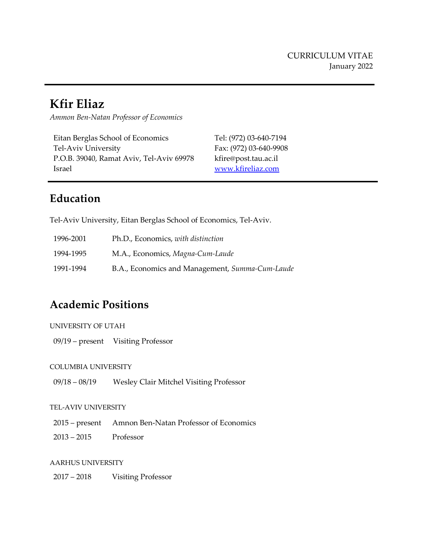# **Kfir Eliaz**

*Ammon Ben-Natan Professor of Economics*

Eitan Berglas School of Economics Tel-Aviv University P.O.B. 39040, Ramat Aviv, Tel-Aviv 69978 Israel

Tel: (972) 03-640-7194 Fax: (972) 03-640-9908 kfire@post.tau.ac.il [www.kfireliaz.com](http://www.kfireliaz.com/)

## **Education**

֦

Tel-Aviv University, Eitan Berglas School of Economics, Tel-Aviv.

| 1996-2001 | Ph.D., Economics, with distinction              |
|-----------|-------------------------------------------------|
| 1994-1995 | M.A., Economics, Magna-Cum-Laude                |
| 1991-1994 | B.A., Economics and Management, Summa-Cum-Laude |

## **Academic Positions**

09/19 – present Visiting Professor

#### COLUMBIA UNIVERSITY

09/18 – 08/19 Wesley Clair Mitchel Visiting Professor

#### TEL-AVIV UNIVERSITY

- 2015 present Amnon Ben-Natan Professor of Economics
- $2013 2015$ Professor

#### AARHUS UNIVERSITY

2017 – 2018 Visiting Professor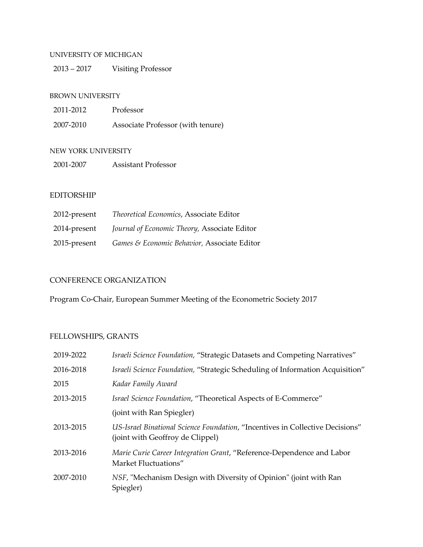#### UNIVERSITY OF MICHIGAN

2013 – 2017 Visiting Professor

#### BROWN UNIVERSITY

| 2011-2012 | Professor                         |
|-----------|-----------------------------------|
| 2007-2010 | Associate Professor (with tenure) |

#### NEW YORK UNIVERSITY

2001-2007 Assistant Professor

#### EDITORSHIP

| 2012-present | Theoretical Economics, Associate Editor      |
|--------------|----------------------------------------------|
| 2014-present | Journal of Economic Theory, Associate Editor |
| 2015-present | Games & Economic Behavior, Associate Editor  |

#### CONFERENCE ORGANIZATION

Program Co-Chair, European Summer Meeting of the Econometric Society 2017

## FELLOWSHIPS, GRANTS

| 2019-2022 | Israeli Science Foundation, "Strategic Datasets and Competing Narratives"                                         |
|-----------|-------------------------------------------------------------------------------------------------------------------|
| 2016-2018 | Israeli Science Foundation, "Strategic Scheduling of Information Acquisition"                                     |
| 2015      | Kadar Family Award                                                                                                |
| 2013-2015 | Israel Science Foundation, "Theoretical Aspects of E-Commerce"                                                    |
|           | (joint with Ran Spiegler)                                                                                         |
| 2013-2015 | US-Israel Binational Science Foundation, "Incentives in Collective Decisions"<br>(joint with Geoffroy de Clippel) |
| 2013-2016 | Marie Curie Career Integration Grant, "Reference-Dependence and Labor<br>Market Fluctuations"                     |
| 2007-2010 | NSF, "Mechanism Design with Diversity of Opinion" (joint with Ran<br>Spiegler)                                    |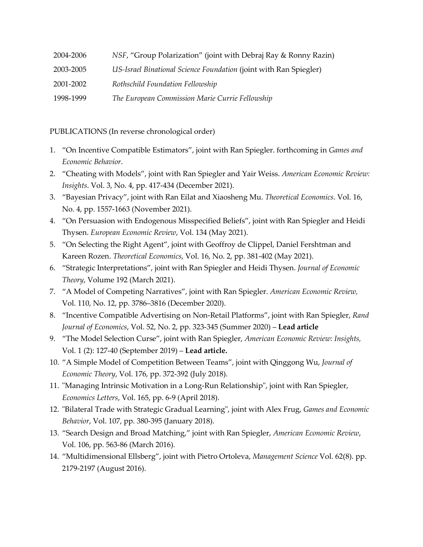| 2004-2006 | NSF, "Group Polarization" (joint with Debraj Ray & Ronny Razin)   |
|-----------|-------------------------------------------------------------------|
| 2003-2005 | US-Israel Binational Science Foundation (joint with Ran Spiegler) |
| 2001-2002 | Rothschild Foundation Fellowship                                  |
| 1998-1999 | The European Commission Marie Currie Fellowship                   |

PUBLICATIONS (In reverse chronological order)

- 1. "On Incentive Compatible Estimators", joint with Ran Spiegler. forthcoming in *Games and Economic Behavior*.
- 2. "Cheating with Models", joint with Ran Spiegler and Yair Weiss. *American Economic Review: Insights*. Vol. 3, No. 4, pp. 417-434 (December 2021).
- 3. "Bayesian Privacy", joint with Ran Eilat and Xiaosheng Mu. *Theoretical Economics*. Vol. 16, No. 4, pp. 1557-1663 (November 2021).
- 4. "On Persuasion with Endogenous Misspecified Beliefs", joint with Ran Spiegler and Heidi Thysen. *European Economic Review*, Vol. 134 (May 2021).
- 5. "On Selecting the Right Agent", joint with Geoffroy de Clippel, Daniel Fershtman and Kareen Rozen. *Theoretical Economics*, Vol. 16, No. 2, pp. 381-402 (May 2021).
- 6. "Strategic Interpretations", joint with Ran Spiegler and Heidi Thysen. *Journal of Economic Theory*, Volume 192 (March 2021).
- 7. "A Model of Competing Narratives", joint with Ran Spiegler. *American Economic Review,* Vol. 110, No. 12, pp. 3786–3816 (December 2020).
- 8. "Incentive Compatible Advertising on Non-Retail Platforms", joint with Ran Spiegler, *Rand Journal of Economics*, Vol. 52, No. 2, pp. 323-345 (Summer 2020) – **Lead article**
- 9. "The Model Selection Curse", joint with Ran Spiegler, *American Economic Review: Insights,*  Vol. 1 (2): 127-40 (September 2019) – **Lead article.**
- 10. "A Simple Model of Competition Between Teams", joint with Qinggong Wu, *Journal of Economic Theory*, Vol. 176, pp. 372-392 (July 2018).
- 11. "Managing Intrinsic Motivation in a Long-Run Relationship", joint with Ran Spiegler, *Economics Letters*, Vol. 165, pp. 6-9 (April 2018).
- 12. "Bilateral Trade with Strategic Gradual Learning", joint with Alex Frug, *Games and Economic Behavior*, Vol. 107, pp. 380-395 (January 2018).
- 13. "Search Design and Broad Matching," joint with Ran Spiegler, *American Economic Review*, Vol. 106, pp. 563-86 (March 2016)*.*
- 14. "Multidimensional Ellsberg", joint with Pietro Ortoleva, *Management Science* Vol. 62(8). pp. 2179-2197 (August 2016).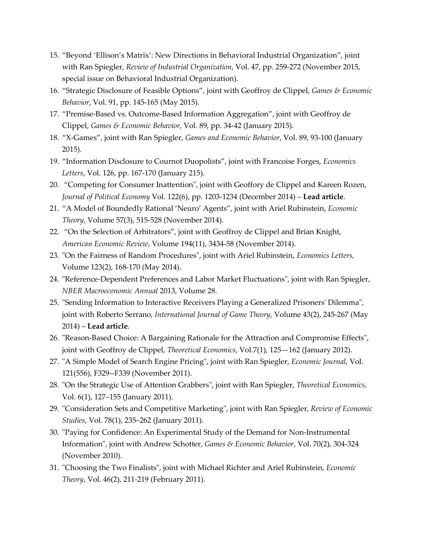- 15. "Beyond 'Ellison's Matrix': New Directions in Behavioral Industrial Organization", joint with Ran Spiegler, *Review of Industrial Organization*, Vol. 47, pp. 259-272 (November 2015, special issue on Behavioral Industrial Organization).
- 16. "Strategic Disclosure of Feasible Options", joint with Geoffroy de Clippel, *Games & Economic Behavior*, Vol. 91, pp. 145-165 (May 2015).
- 17. "Premise-Based vs. Outcome-Based Information Aggregation", joint with Geoffroy de Clippel, *Games & Economic Behavior*, Vol. 89, pp. 34-42 (January 2015).
- 18. "X-Games", joint with Ran Spiegler, *Games and Economic Behavior*, Vol. 89, 93-100 (January 2015)*.*
- 19. "Information Disclosure to Cournot Duopolists", joint with Francoise Forges, *Economics Letters*, Vol. 126, pp. 167-170 (January 215).
- 20. "Competing for Consumer Inattention", joint with Geoffory de Clippel and Kareen Rozen, *Journal of Political Economy* Vol. 122(6), pp. 1203-1234 (December 2014) – **Lead article**.
- 21. "A Model of Boundedly Rational 'Neuro' Agents", joint with Ariel Rubinstein, *Economic Theory*, Volume 57(3), 515-528 (November 2014).
- 22. "On the Selection of Arbitrators", joint with Geoffroy de Clippel and Brian Knight, *American Economic Review*, Volume 194(11), 3434-58 (November 2014).
- 23. "On the Fairness of Random Procedures", joint with Ariel Rubinstein, *Economics Letters*, Volume 123(2), 168-170 (May 2014).
- 24. "Reference-Dependent Preferences and Labor Market Fluctuations", joint with Ran Spiegler, *NBER Macroeconomic Annual* 2013, Volume 28.
- 25. "Sending Information to Interactive Receivers Playing a Generalized Prisoners' Dilemma", joint with Roberto Serrano, *International Journal of Game Theory*, Volume 43(2), 245-267 (May 2014) – **Lead article**.
- 26. "Reason-Based Choice: A Bargaining Rationale for the Attraction and Compromise Effects", joint with Geoffroy de Clippel, *Theoretical Economics*, Vol.7(1), 125—162 (January 2012).
- 27. "A Simple Model of Search Engine Pricing", joint with Ran Spiegler, *Economic Journal*, Vol. 121(556), F329--F339 (November 2011).
- 28. "On the Strategic Use of Attention Grabbers", joint with Ran Spiegler, *Theoretical Economics*, Vol. 6(1), 127–155 (January 2011).
- 29. "Consideration Sets and Competitive Marketing", joint with Ran Spiegler, *Review of Economic Studies*, Vol. 78(1), 235–262 (January 2011).
- 30. "Paying for Confidence: An Experimental Study of the Demand for Non-Instrumental Information", joint with Andrew Schotter, *Games & Economic Behavior*, Vol. 70(2), 304-324 (November 2010).
- 31. "Choosing the Two Finalists", joint with Michael Richter and Ariel Rubinstein, *Economic Theory*, Vol. 46(2), 211-219 (February 2011).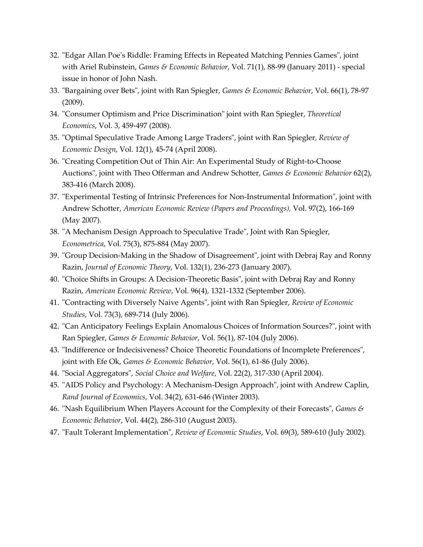- 32. "Edgar Allan Poe's Riddle: Framing Effects in Repeated Matching Pennies Games", joint with Ariel Rubinstein, *Games & Economic Behavior*, Vol. 71(1), 88-99 (January 2011) - special issue in honor of John Nash.
- 33. "Bargaining over Bets", joint with Ran Spiegler, *Games & Economic Behavior*, Vol. 66(1), 78-97 (2009).
- 34. "Consumer Optimism and Price Discrimination" joint with Ran Spiegler, *Theoretical Economics*, Vol. 3, 459-497 (2008).
- 35. "Optimal Speculative Trade Among Large Traders", joint with Ran Spiegler, *Review of Economic Design*, Vol. 12(1), 45-74 (April 2008).
- 36. "Creating Competition Out of Thin Air: An Experimental Study of Right-to-Choose Auctions", joint with Theo Offerman and Andrew Schotter, *Games & Economic Behavior* 62(2), 383-416 (March 2008).
- 37. "Experimental Testing of Intrinsic Preferences for Non-Instrumental Information", joint with Andrew Schotter, *American Economic Review (Papers and Proceedings),* Vol. 97(2), 166-169 (May 2007).
- 38. "A Mechanism Design Approach to Speculative Trade", Joint with Ran Spiegler, *Econometrica*, Vol. 75(3), 875-884 (May 2007).
- 39. "Group Decision-Making in the Shadow of Disagreement", joint with Debraj Ray and Ronny Razin, *Journal of Economic Theory*, Vol. 132(1), 236-273 (January 2007).
- 40. "Choice Shifts in Groups: A Decision-Theoretic Basis", joint with Debraj Ray and Ronny Razin, *American Economic Review*, Vol. 96(4), 1321-1332 (September 2006).
- 41. "Contracting with Diversely Naive Agents", joint with Ran Spiegler, *Review of Economic Studies*, Vol. 73(3), 689-714 (July 2006).
- 42. "Can Anticipatory Feelings Explain Anomalous Choices of Information Sources?", joint with Ran Spiegler, *Games & Economic Behavior*, Vol. 56(1), 87-104 (July 2006).
- 43. "Indifference or Indecisiveness? Choice Theoretic Foundations of Incomplete Preferences", joint with Efe Ok, *Games & Economic Behavior*, Vol. 56(1), 61-86 (July 2006).
- 44. "Social Aggregators", *Social Choice and Welfare*, Vol. 22(2), 317-330 (April 2004).
- 45. "AIDS Policy and Psychology: A Mechanism-Design Approach", joint with Andrew Caplin, *Rand Journal of Economics*, Vol. 34(2), 631-646 (Winter 2003).
- 46. "Nash Equilibrium When Players Account for the Complexity of their Forecasts", *Games & Economic Behavior*, Vol. 44(2), 286-310 (August 2003).
- 47. "Fault Tolerant Implementation", *Review of Economic Studies*, Vol. 69(3), 589-610 (July 2002).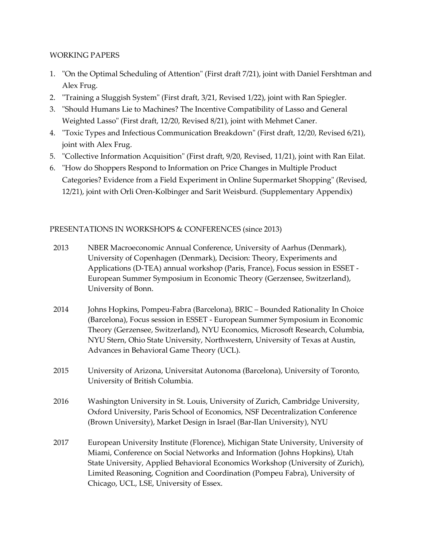### WORKING PAPERS

- 1. "On the Optimal Scheduling of Attention" (First draft 7/21), joint with Daniel Fershtman and Alex Frug.
- 2. "Training a Sluggish System" (First draft, 3/21, Revised 1/22), joint with Ran Spiegler.
- 3. "Should Humans Lie to Machines? The Incentive Compatibility of Lasso and General Weighted Lasso" (First draft, 12/20, Revised 8/21), joint with Mehmet Caner.
- 4. "Toxic Types and Infectious Communication Breakdown" (First draft, 12/20, Revised 6/21), joint with Alex Frug.
- 5. "Collective Information Acquisition" (First draft, 9/20, Revised, 11/21), joint with Ran Eilat.
- 6. "How do Shoppers Respond to Information on Price Changes in Multiple Product Categories? Evidence from a Field Experiment in Online Supermarket Shopping" (Revised, 12/21), joint with Orli Oren-Kolbinger and Sarit Weisburd. (Supplementary Appendix)

### PRESENTATIONS IN WORKSHOPS & CONFERENCES (since 2013)

- 2013 NBER Macroeconomic Annual Conference, University of Aarhus (Denmark), University of Copenhagen (Denmark), Decision: Theory, Experiments and Applications (D-TEA) annual workshop (Paris, France), Focus session in ESSET - European Summer Symposium in Economic Theory (Gerzensee, Switzerland), University of Bonn.
- 2014 Johns Hopkins, Pompeu-Fabra (Barcelona), BRIC Bounded Rationality In Choice (Barcelona), Focus session in ESSET - European Summer Symposium in Economic Theory (Gerzensee, Switzerland), NYU Economics, Microsoft Research, Columbia, NYU Stern, Ohio State University, Northwestern, University of Texas at Austin, Advances in Behavioral Game Theory (UCL).
- 2015 University of Arizona, Universitat Autonoma (Barcelona), University of Toronto, University of British Columbia.
- 2016 Washington University in St. Louis, University of Zurich, Cambridge University, Oxford University, Paris School of Economics, NSF Decentralization Conference (Brown University), Market Design in Israel (Bar-Ilan University), NYU
- 2017 European University Institute (Florence), Michigan State University, University of Miami, Conference on Social Networks and Information (Johns Hopkins), Utah State University, Applied Behavioral Economics Workshop (University of Zurich), Limited Reasoning, Cognition and Coordination (Pompeu Fabra), University of Chicago, UCL, LSE, University of Essex.